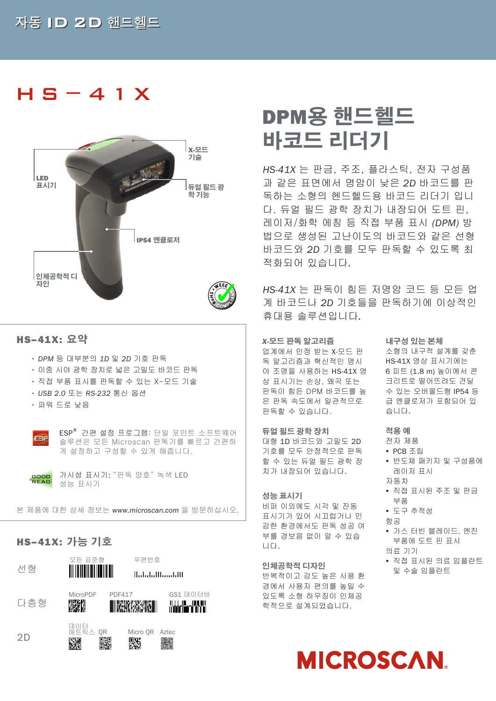## HS−41X



### HS–41X: **요약**

- DPM 등 대부분의 *1D* 및 *2D* 기호 판독
- 이중 시야 광학 장치로 넓은 고밀도 바코드 판독
- 직접 부품 표시를 판독할 수 있는 X-모드 기술
- USB 2.0 또는 *RS-232* 통신 옵션
- 파워 드로 낮음



ESP® 간편 설정 프로그램: 단일 포인트 소프트웨어 솔루션은 모든 Microscan 판독기를 빠르고 간편하 게 설정하고 구성할 수 있게 해줍니다.



가시성 표시기: "판독 양호" 녹색 LED 성능 표시기

본 제품에 대한 상세 정보는 *www.microscan.com* 을 방문하십시오*.*

## HS–41X: **가능 기호**



# DPM**용 핸드헬드 바코드 리더기**

*HS-41X* 는 판금, 주조, 플라스틱, 전자 구성품 과 같은 표면에서 명암이 낮은 *2D* 바코드를 판 독하는 소형의 헨드헬드용 바코드 리더기 입니 다. 듀얼 필드 광학 장치가 내장되어 도트 핀, 레이저/화학 에칭 등 직접 부품 표시 *(DPM)* 방 법으로 생성된 고난이도의 바코드와 같은 선형 바코드와 *2D* 기호를 모두 판독할 수 있도록 최 적화되어 있습니다*.*

*HS-41X* 는 판독이 힘든 저명암 코드 등 모든 업 계 바코드나 *2D* 기호들을 판독하기에 이상적인 휴대용 솔루션입니다*.* 

#### *X-***모드 판독 알고리즘**

업계에서 인정 받는 X-모드 판 독 알고리즘과 혁신적인 명시 야 조명을 사용하는 HS-41X 영 상 표시기는 손상, 왜곡 또는 판독이 힘든 DPM 바코드를 높 은 판독 속도에서 일관적으로 판독할 수 있습니다.

#### **듀얼 필드 광학 장치**

대형 1D 바코드와 고밀도 2D 기호를 모두 안정적으로 판독 할 수 있는 듀얼 필드 광학 장 치가 내장되어 있습니다.

#### **성능 표시기**

비퍼 이외에도 시각 및 진동 표시기가 있어 시끄럽거나 민 감한 환경에서도 판독 성공 여 부를 경보음 없이 알 수 있습 니다.

#### **인체공학적 디자인**

반복적이고 강도 높은 사용 환 경에서 사용자 편의를 높일 수 있도록 소형 하우징이 인체공 학적으로 설계되었습니다.

#### **내구성 있는 본체**

소형의 내구적 설계를 갖춘 HS-41X 영상 표시기에는 6 피트 (1.8 m) 높이에서 콘 크리트로 떨어뜨려도 견딜 수 있는 오버몰드형 IP54 등 급 엔클로저가 포함되어 있 습니다.

#### **적용 예**

- 전자 제품
- PCB 조립
- y 반도체 패키지 및 구성품에 레이저 표시 자동차
- y 직접 표시된 주조 및 판금
	- 부품
- y 도구 추적성
- 항공
- 가스 터빈 블레이드, 엔진 부품에 도트 핀 표시
- 의료 기기
- y 직접 표시된 의료 임플란트 및 수술 임플란트